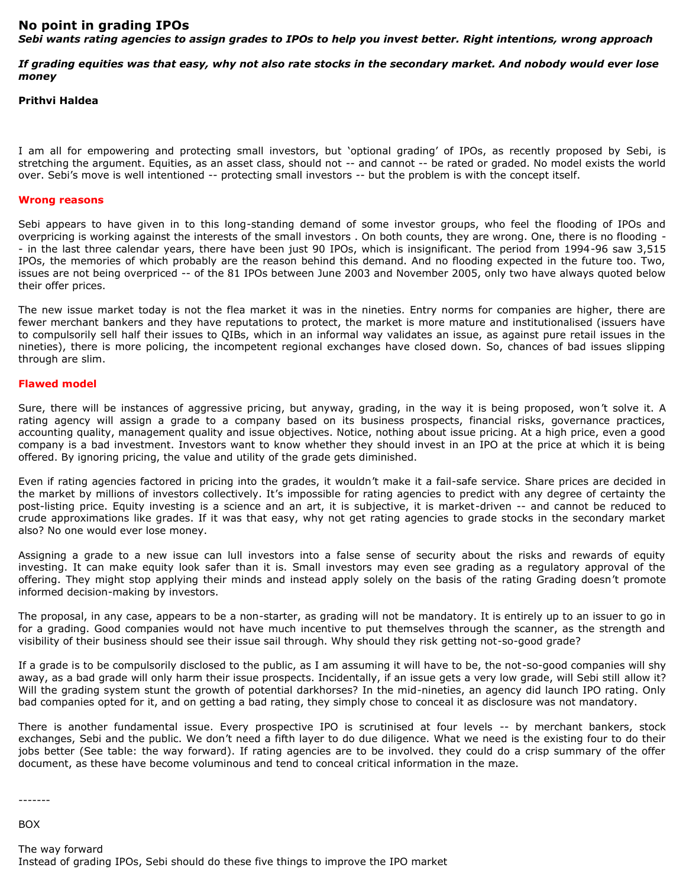## **No point in grading IPOs**

*Sebi wants rating agencies to assign grades to IPOs to help you invest better. Right intentions, wrong approach*

*If grading equities was that easy, why not also rate stocks in the secondary market. And nobody would ever lose money*

## **Prithvi Haldea**

I am all for empowering and protecting small investors, but 'optional grading' of IPOs, as recently proposed by Sebi, is stretching the argument. Equities, as an asset class, should not -- and cannot -- be rated or graded. No model exists the world over. Sebi's move is well intentioned -- protecting small investors -- but the problem is with the concept itself.

## **Wrong reasons**

Sebi appears to have given in to this long-standing demand of some investor groups, who feel the flooding of IPOs and overpricing is working against the interests of the small investors . On both counts, they are wrong. One, there is no flooding - - in the last three calendar years, there have been just 90 IPOs, which is insignificant. The period from 1994-96 saw 3,515 IPOs, the memories of which probably are the reason behind this demand. And no flooding expected in the future too. Two, issues are not being overpriced -- of the 81 IPOs between June 2003 and November 2005, only two have always quoted below their offer prices.

The new issue market today is not the flea market it was in the nineties. Entry norms for companies are higher, there are fewer merchant bankers and they have reputations to protect, the market is more mature and institutionalised (issuers have to compulsorily sell half their issues to QIBs, which in an informal way validates an issue, as against pure retail issues in the nineties), there is more policing, the incompetent regional exchanges have closed down. So, chances of bad issues slipping through are slim.

## **Flawed model**

Sure, there will be instances of aggressive pricing, but anyway, grading, in the way it is being proposed, won't solve it. A rating agency will assign a grade to a company based on its business prospects, financial risks, governance practices, accounting quality, management quality and issue objectives. Notice, nothing about issue pricing. At a high price, even a good company is a bad investment. Investors want to know whether they should invest in an IPO at the price at which it is being offered. By ignoring pricing, the value and utility of the grade gets diminished.

Even if rating agencies factored in pricing into the grades, it wouldn't make it a fail-safe service. Share prices are decided in the market by millions of investors collectively. It's impossible for rating agencies to predict with any degree of certainty the post-listing price. Equity investing is a science and an art, it is subjective, it is market-driven -- and cannot be reduced to crude approximations like grades. If it was that easy, why not get rating agencies to grade stocks in the secondary market also? No one would ever lose money.

Assigning a grade to a new issue can lull investors into a false sense of security about the risks and rewards of equity investing. It can make equity look safer than it is. Small investors may even see grading as a regulatory approval of the offering. They might stop applying their minds and instead apply solely on the basis of the rating Grading doesn't promote informed decision-making by investors.

The proposal, in any case, appears to be a non-starter, as grading will not be mandatory. It is entirely up to an issuer to go in for a grading. Good companies would not have much incentive to put themselves through the scanner, as the strength and visibility of their business should see their issue sail through. Why should they risk getting not-so-good grade?

If a grade is to be compulsorily disclosed to the public, as I am assuming it will have to be, the not-so-good companies will shy away, as a bad grade will only harm their issue prospects. Incidentally, if an issue gets a very low grade, will Sebi still allow it? Will the grading system stunt the growth of potential darkhorses? In the mid-nineties, an agency did launch IPO rating. Only bad companies opted for it, and on getting a bad rating, they simply chose to conceal it as disclosure was not mandatory.

There is another fundamental issue. Every prospective IPO is scrutinised at four levels -- by merchant bankers, stock exchanges, Sebi and the public. We don't need a fifth layer to do due diligence. What we need is the existing four to do their jobs better (See table: the way forward). If rating agencies are to be involved. they could do a crisp summary of the offer document, as these have become voluminous and tend to conceal critical information in the maze.

-------

BOX